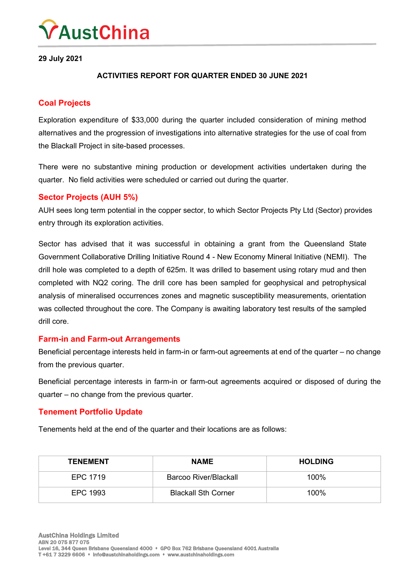

**29 July 2021**

### **ACTIVITIES REPORT FOR QUARTER ENDED 30 JUNE 2021**

## **Coal Projects**

Exploration expenditure of \$33,000 during the quarter included consideration of mining method alternatives and the progression of investigations into alternative strategies for the use of coal from the Blackall Project in site-based processes.

There were no substantive mining production or development activities undertaken during the quarter. No field activities were scheduled or carried out during the quarter.

### **Sector Projects (AUH 5%)**

AUH sees long term potential in the copper sector, to which Sector Projects Pty Ltd (Sector) provides entry through its exploration activities.

Sector has advised that it was successful in obtaining a grant from the Queensland State Government Collaborative Drilling Initiative Round 4 - New Economy Mineral Initiative (NEMI). The drill hole was completed to a depth of 625m. It was drilled to basement using rotary mud and then completed with NQ2 coring. The drill core has been sampled for geophysical and petrophysical analysis of mineralised occurrences zones and magnetic susceptibility measurements, orientation was collected throughout the core. The Company is awaiting laboratory test results of the sampled drill core.

### **Farm-in and Farm-out Arrangements**

Beneficial percentage interests held in farm-in or farm-out agreements at end of the quarter – no change from the previous quarter.

Beneficial percentage interests in farm-in or farm-out agreements acquired or disposed of during the quarter – no change from the previous quarter.

#### **Tenement Portfolio Update**

Tenements held at the end of the quarter and their locations are as follows:

| <b>TENEMENT</b> | <b>NAME</b>                | <b>HOLDING</b> |
|-----------------|----------------------------|----------------|
| EPC 1719        | Barcoo River/Blackall      | 100%           |
| EPC 1993        | <b>Blackall Sth Corner</b> | $100\%$        |